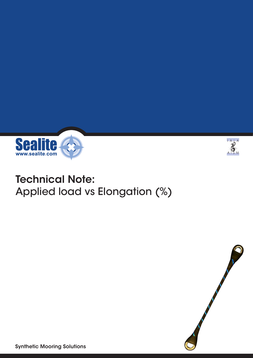



## Technical Note: Applied load vs Elongation (%)



Synthetic Mooring Solutions